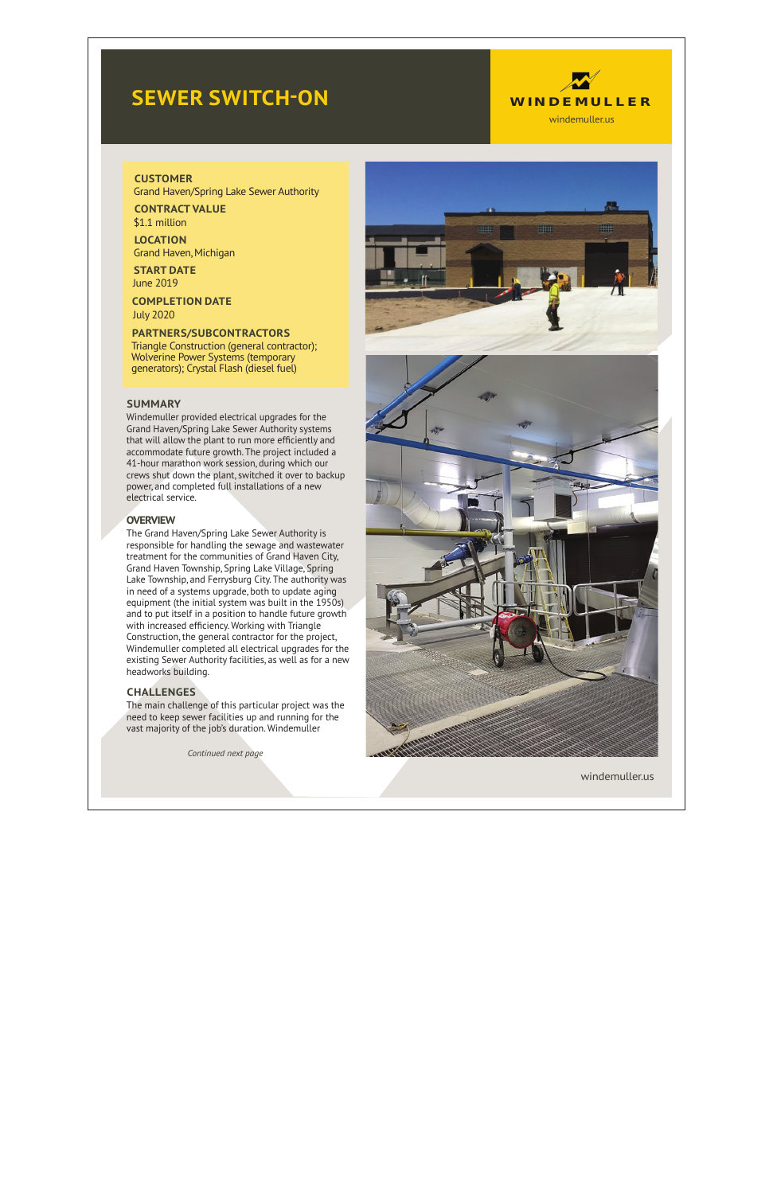# **SEWER SWITCH -ON**



### **CUSTOMER**

Grand Haven/Spring Lake Sewer Authority

**CONTRACT VALUE** \$1.1 million

**LOCATION** Grand Haven, Michigan

**START DATE** June 2019

**COMPLETION DATE** July 2020

## **PARTNERS/SUBCONTRACTORS**

Triangle Construction (general contractor); Wolverine Power Systems (temporary generators); Crystal Flash (diesel fuel)

## **SUMMARY**

Windemuller provided electrical upgrades for the Grand Haven/Spring Lake Sewer Authority systems that will allow the plant to run more efficiently and accommodate future growth. The project included a 41-hour marathon work session, during which our crews shut down the plant, switched it over to backup power, and completed full installations of a new electrical service.

# **OVERVIEW**

The Grand Haven/Spring Lake Sewer Authority is responsible for handling the sewage and wastewater treatment for the communities of Grand Haven City, Grand Haven Township, Spring Lake Village, Spring Lake Township, and Ferrysburg City. The authority was in need of a systems upgrade, both to update aging equipment (the initial system was built in the 1950s) and to put itself in a position to handle future growth with increased efficiency. Working with Triangle Construction, the general contractor for the project, Windemuller completed all electrical upgrades for the existing Sewer Authority facilities, as well as for a new headworks building.

# **CHALLENGES**

The main challenge of this particular project was the need to keep sewer facilities up and running for the vast majority of the job's duration. Windemuller

*Continued next page*





windemuller.us